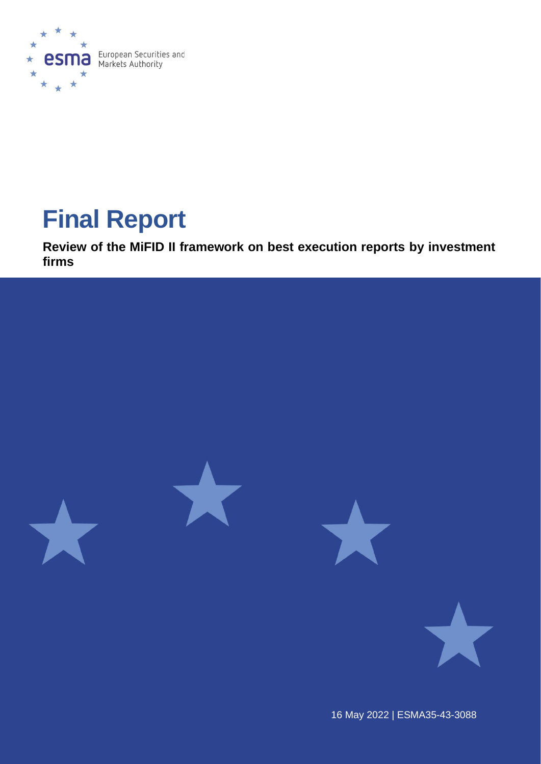

# **Final Report**

**Review of the MiFID II framework on best execution reports by investment firms**



16 May 2022 | ESMA35-43-3088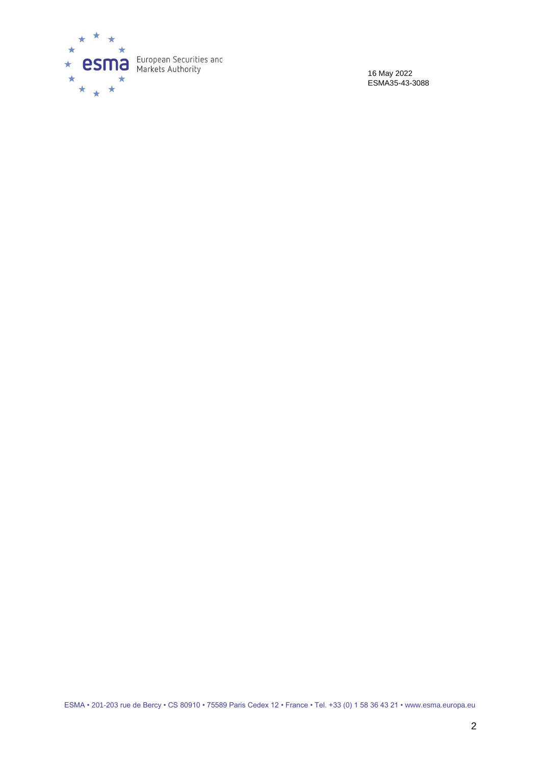

16 May 2022 ESMA35-43-3088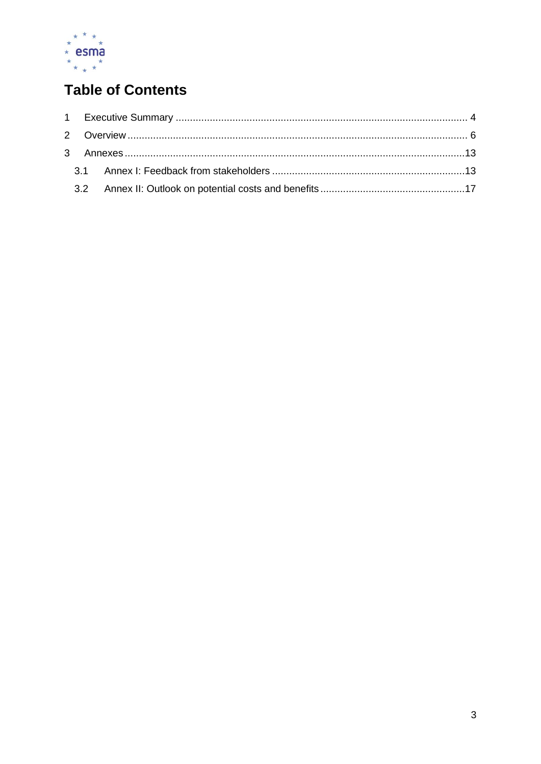

## **Table of Contents**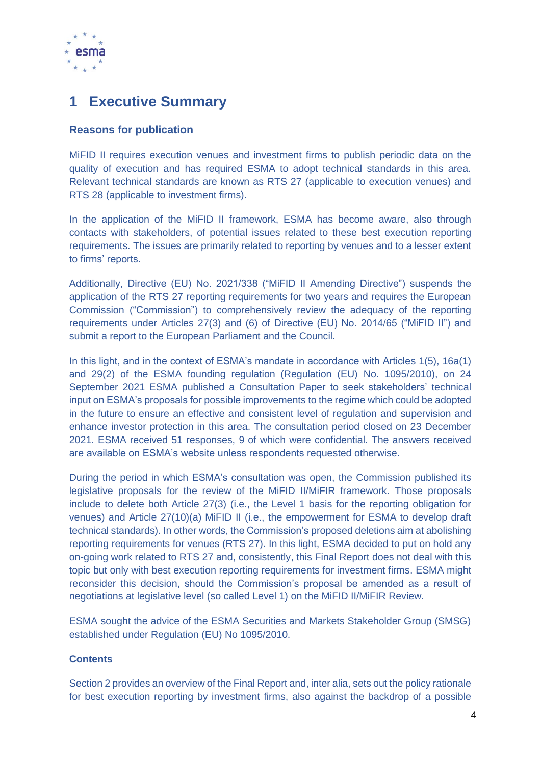

## <span id="page-3-0"></span>**1 Executive Summary**

#### **Reasons for publication**

MiFID II requires execution venues and investment firms to publish periodic data on the quality of execution and has required ESMA to adopt technical standards in this area. Relevant technical standards are known as RTS 27 (applicable to execution venues) and RTS 28 (applicable to investment firms).

In the application of the MiFID II framework, ESMA has become aware, also through contacts with stakeholders, of potential issues related to these best execution reporting requirements. The issues are primarily related to reporting by venues and to a lesser extent to firms' reports.

Additionally, Directive (EU) No. 2021/338 ("MiFID II Amending Directive") suspends the application of the RTS 27 reporting requirements for two years and requires the European Commission ("Commission") to comprehensively review the adequacy of the reporting requirements under Articles 27(3) and (6) of Directive (EU) No. 2014/65 ("MiFID II") and submit a report to the European Parliament and the Council.

In this light, and in the context of ESMA's mandate in accordance with Articles 1(5), 16a(1) and 29(2) of the ESMA founding regulation (Regulation (EU) No. 1095/2010), on 24 September 2021 ESMA published a Consultation Paper to seek stakeholders' technical input on ESMA's proposals for possible improvements to the regime which could be adopted in the future to ensure an effective and consistent level of regulation and supervision and enhance investor protection in this area. The consultation period closed on 23 December 2021. ESMA received 51 responses, 9 of which were confidential. The answers received are available on ESMA's website unless respondents requested otherwise.

During the period in which ESMA's consultation was open, the Commission published its legislative proposals for the review of the MiFID II/MiFIR framework. Those proposals include to delete both Article 27(3) (i.e., the Level 1 basis for the reporting obligation for venues) and Article 27(10)(a) MiFID II (i.e., the empowerment for ESMA to develop draft technical standards). In other words, the Commission's proposed deletions aim at abolishing reporting requirements for venues (RTS 27). In this light, ESMA decided to put on hold any on-going work related to RTS 27 and, consistently, this Final Report does not deal with this topic but only with best execution reporting requirements for investment firms. ESMA might reconsider this decision, should the Commission's proposal be amended as a result of negotiations at legislative level (so called Level 1) on the MiFID II/MiFIR Review.

ESMA sought the advice of the ESMA Securities and Markets Stakeholder Group (SMSG) established under Regulation (EU) No 1095/2010.

#### **Contents**

Section 2 provides an overview of the Final Report and, inter alia, sets out the policy rationale for best execution reporting by investment firms, also against the backdrop of a possible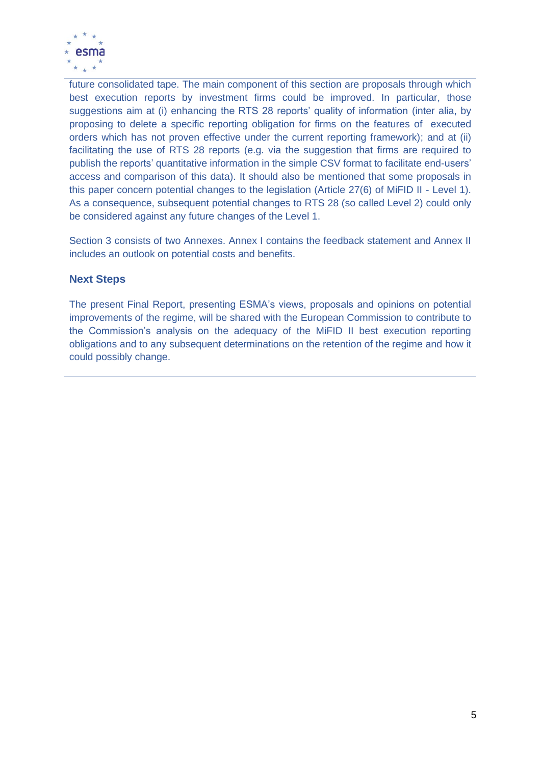

future consolidated tape. The main component of this section are proposals through which best execution reports by investment firms could be improved. In particular, those suggestions aim at (i) enhancing the RTS 28 reports' quality of information (inter alia, by proposing to delete a specific reporting obligation for firms on the features of executed orders which has not proven effective under the current reporting framework); and at (ii) facilitating the use of RTS 28 reports (e.g. via the suggestion that firms are required to publish the reports' quantitative information in the simple CSV format to facilitate end-users' access and comparison of this data). It should also be mentioned that some proposals in this paper concern potential changes to the legislation (Article 27(6) of MiFID II - Level 1). As a consequence, subsequent potential changes to RTS 28 (so called Level 2) could only be considered against any future changes of the Level 1.

Section 3 consists of two Annexes. Annex I contains the feedback statement and Annex II includes an outlook on potential costs and benefits.

#### **Next Steps**

The present Final Report, presenting ESMA's views, proposals and opinions on potential improvements of the regime, will be shared with the European Commission to contribute to the Commission's analysis on the adequacy of the MiFID II best execution reporting obligations and to any subsequent determinations on the retention of the regime and how it could possibly change.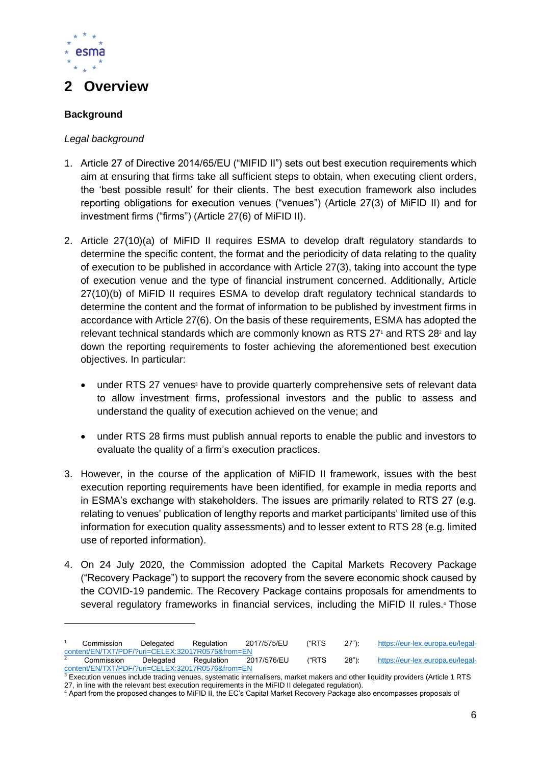

## <span id="page-5-0"></span>**2 Overview**

#### **Background**

#### *Legal background*

- 1. Article 27 of Directive 2014/65/EU ("MIFID II") sets out best execution requirements which aim at ensuring that firms take all sufficient steps to obtain, when executing client orders, the 'best possible result' for their clients. The best execution framework also includes reporting obligations for execution venues ("venues") (Article 27(3) of MiFID II) and for investment firms ("firms") (Article 27(6) of MiFID II).
- 2. Article 27(10)(a) of MiFID II requires ESMA to develop draft regulatory standards to determine the specific content, the format and the periodicity of data relating to the quality of execution to be published in accordance with Article 27(3), taking into account the type of execution venue and the type of financial instrument concerned. Additionally, Article 27(10)(b) of MiFID II requires ESMA to develop draft regulatory technical standards to determine the content and the format of information to be published by investment firms in accordance with Article 27(6). On the basis of these requirements, ESMA has adopted the relevant technical standards which are commonly known as RTS 27<sup>1</sup> and RTS 28<sup>2</sup> and lay down the reporting requirements to foster achieving the aforementioned best execution objectives. In particular:
	- under RTS 27 venues<sup>3</sup> have to provide quarterly comprehensive sets of relevant data to allow investment firms, professional investors and the public to assess and understand the quality of execution achieved on the venue; and
	- under RTS 28 firms must publish annual reports to enable the public and investors to evaluate the quality of a firm's execution practices.
- 3. However, in the course of the application of MiFID II framework, issues with the best execution reporting requirements have been identified, for example in media reports and in ESMA's exchange with stakeholders. The issues are primarily related to RTS 27 (e.g. relating to venues' publication of lengthy reports and market participants' limited use of this information for execution quality assessments) and to lesser extent to RTS 28 (e.g. limited use of reported information).
- 4. On 24 July 2020, the Commission adopted the Capital Markets Recovery Package ("Recovery Package") to support the recovery from the severe economic shock caused by the COVID-19 pandemic. The Recovery Package contains proposals for amendments to several regulatory frameworks in financial services, including the MiFID II rules.<sup>4</sup> Those

Commission Delegated Regulation 2017/575/EU ("RTS 27"): https://eur-lex.europa.eu/legal-<br>ent/EN/TXT/PDF/?uri=CELEX:32017R0575&from=EN [content/EN/TXT/PDF/?uri=CELEX:32017R0575&from=EN](https://eur-lex.europa.eu/legal-content/EN/TXT/PDF/?uri=CELEX:32017R0575&from=EN)  <sup>2</sup> Commission Delegated Regulation 2017/576/EU ("RTS 28"): [https://eur-lex.europa.eu/legal](https://eur-lex.europa.eu/legal-content/EN/TXT/PDF/?uri=CELEX:32017R0576&from=EN)[content/EN/TXT/PDF/?uri=CELEX:32017R0576&from=EN](https://eur-lex.europa.eu/legal-content/EN/TXT/PDF/?uri=CELEX:32017R0576&from=EN)

 $3$  Execution venues include trading venues, systematic internalisers, market makers and other liquidity providers (Article 1 RTS 27, in line with the relevant best execution requirements in the MiFID II delegated regulation).

<sup>4</sup> Apart from the proposed changes to MiFID II, the EC's Capital Market Recovery Package also encompasses proposals of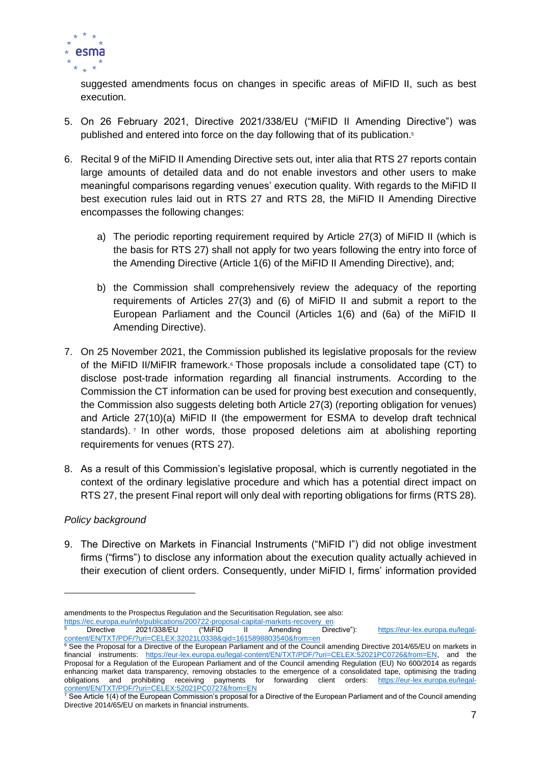

suggested amendments focus on changes in specific areas of MiFID II, such as best execution.

- 5. On 26 February 2021, Directive 2021/338/EU ("MiFID II Amending Directive") was published and entered into force on the day following that of its publication.<sup>5</sup>
- 6. Recital 9 of the MiFID II Amending Directive sets out, inter alia that RTS 27 reports contain large amounts of detailed data and do not enable investors and other users to make meaningful comparisons regarding venues' execution quality. With regards to the MiFID II best execution rules laid out in RTS 27 and RTS 28, the MiFID II Amending Directive encompasses the following changes:
	- a) The periodic reporting requirement required by Article 27(3) of MiFID II (which is the basis for RTS 27) shall not apply for two years following the entry into force of the Amending Directive (Article 1(6) of the MiFID II Amending Directive), and;
	- b) the Commission shall comprehensively review the adequacy of the reporting requirements of Articles 27(3) and (6) of MiFID II and submit a report to the European Parliament and the Council (Articles 1(6) and (6a) of the MiFID II Amending Directive).
- 7. On 25 November 2021, the Commission published its legislative proposals for the review of the MiFID II/MiFIR framework.<sup>6</sup> Those proposals include a consolidated tape (CT) to disclose post-trade information regarding all financial instruments. According to the Commission the CT information can be used for proving best execution and consequently, the Commission also suggests deleting both Article 27(3) (reporting obligation for venues) and Article 27(10)(a) MiFID II (the empowerment for ESMA to develop draft technical standards).<sup>7</sup> In other words, those proposed deletions aim at abolishing reporting requirements for venues (RTS 27).
- 8. As a result of this Commission's legislative proposal, which is currently negotiated in the context of the ordinary legislative procedure and which has a potential direct impact on RTS 27, the present Final report will only deal with reporting obligations for firms (RTS 28).

#### *Policy background*

9. The Directive on Markets in Financial Instruments ("MiFID I") did not oblige investment firms ("firms") to disclose any information about the execution quality actually achieved in their execution of client orders. Consequently, under MiFID I, firms' information provided

[https://ec.europa.eu/info/publications/200722-proposal-capital-markets-recovery\\_en](https://ec.europa.eu/info/publications/200722-proposal-capital-markets-recovery_en)<br>
Directive 2021/338/EU ("MiFID II Amending Dire

Directive 2021/338/EU ("MiFID II Amending Directive"): [https://eur-lex.europa.eu/legal](https://eur-lex.europa.eu/legal-content/EN/TXT/PDF/?uri=CELEX:32021L0338&qid=1615898803540&from=en)[content/EN/TXT/PDF/?uri=CELEX:32021L0338&qid=1615898803540&from=en](https://eur-lex.europa.eu/legal-content/EN/TXT/PDF/?uri=CELEX:32021L0338&qid=1615898803540&from=en)

amendments to the Prospectus Regulation and the Securitisation Regulation, see also:

<sup>&</sup>lt;sup>6</sup> See the Proposal for a Directive of the European Parliament and of the Council amending Directive 2014/65/EU on markets in financial instruments: [https://eur-lex.europa.eu/legal-content/EN/TXT/PDF/?uri=CELEX:52021PC0726&from=EN,](https://eur-lex.europa.eu/legal-content/EN/TXT/PDF/?uri=CELEX:52021PC0726&from=EN) and the Proposal for a Regulation of the European Parliament and of the Council amending Regulation (EU) No 600/2014 as regards enhancing market data transparency, removing obstacles to the emergence of a consolidated tape, optimising the trading obligations and prohibiting receiving payments for forwarding client orders: [https://eur-lex.europa.eu/legal](https://eur-lex.europa.eu/legal-content/EN/TXT/PDF/?uri=CELEX:52021PC0727&from=EN)content/EN/TXT/PDF/?urising receiving payments for the CONTENT CONTENT CONTENT CONTENT CONTENT CONTENT CONTENT CONTENT OF THE CONTENT OF THE CONTENT OF THE CONTENT OF THE CONTENT OF THE CONTENT OF THE CONTENT OF THE CONTEN

See Article 1(4) of the European Commission's proposal for a Directive of the European Parliament and of the Council amending Directive 2014/65/EU on markets in financial instruments.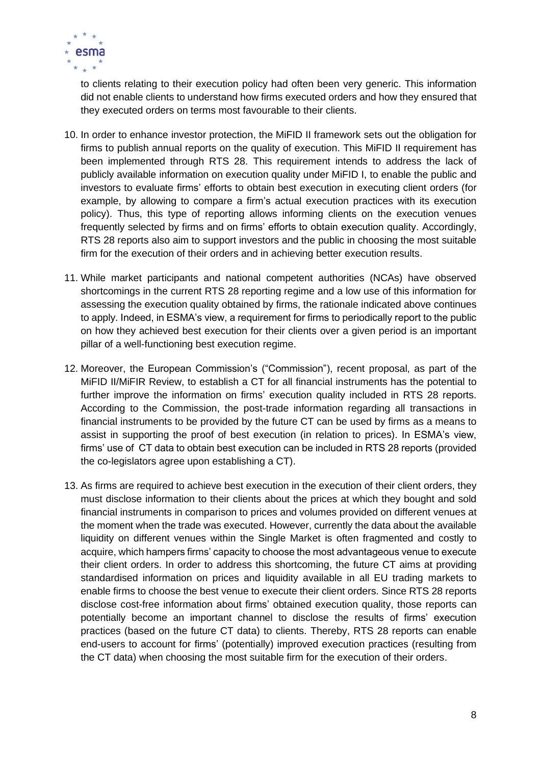

to clients relating to their execution policy had often been very generic. This information did not enable clients to understand how firms executed orders and how they ensured that they executed orders on terms most favourable to their clients.

- 10. In order to enhance investor protection, the MiFID II framework sets out the obligation for firms to publish annual reports on the quality of execution. This MiFID II requirement has been implemented through RTS 28. This requirement intends to address the lack of publicly available information on execution quality under MiFID I, to enable the public and investors to evaluate firms' efforts to obtain best execution in executing client orders (for example, by allowing to compare a firm's actual execution practices with its execution policy). Thus, this type of reporting allows informing clients on the execution venues frequently selected by firms and on firms' efforts to obtain execution quality. Accordingly, RTS 28 reports also aim to support investors and the public in choosing the most suitable firm for the execution of their orders and in achieving better execution results.
- 11. While market participants and national competent authorities (NCAs) have observed shortcomings in the current RTS 28 reporting regime and a low use of this information for assessing the execution quality obtained by firms, the rationale indicated above continues to apply. Indeed, in ESMA's view, a requirement for firms to periodically report to the public on how they achieved best execution for their clients over a given period is an important pillar of a well-functioning best execution regime.
- 12. Moreover, the European Commission's ("Commission"), recent proposal, as part of the MiFID II/MiFIR Review, to establish a CT for all financial instruments has the potential to further improve the information on firms' execution quality included in RTS 28 reports. According to the Commission, the post-trade information regarding all transactions in financial instruments to be provided by the future CT can be used by firms as a means to assist in supporting the proof of best execution (in relation to prices). In ESMA's view, firms' use of CT data to obtain best execution can be included in RTS 28 reports (provided the co-legislators agree upon establishing a CT).
- 13. As firms are required to achieve best execution in the execution of their client orders, they must disclose information to their clients about the prices at which they bought and sold financial instruments in comparison to prices and volumes provided on different venues at the moment when the trade was executed. However, currently the data about the available liquidity on different venues within the Single Market is often fragmented and costly to acquire, which hampers firms' capacity to choose the most advantageous venue to execute their client orders. In order to address this shortcoming, the future CT aims at providing standardised information on prices and liquidity available in all EU trading markets to enable firms to choose the best venue to execute their client orders. Since RTS 28 reports disclose cost-free information about firms' obtained execution quality, those reports can potentially become an important channel to disclose the results of firms' execution practices (based on the future CT data) to clients. Thereby, RTS 28 reports can enable end-users to account for firms' (potentially) improved execution practices (resulting from the CT data) when choosing the most suitable firm for the execution of their orders.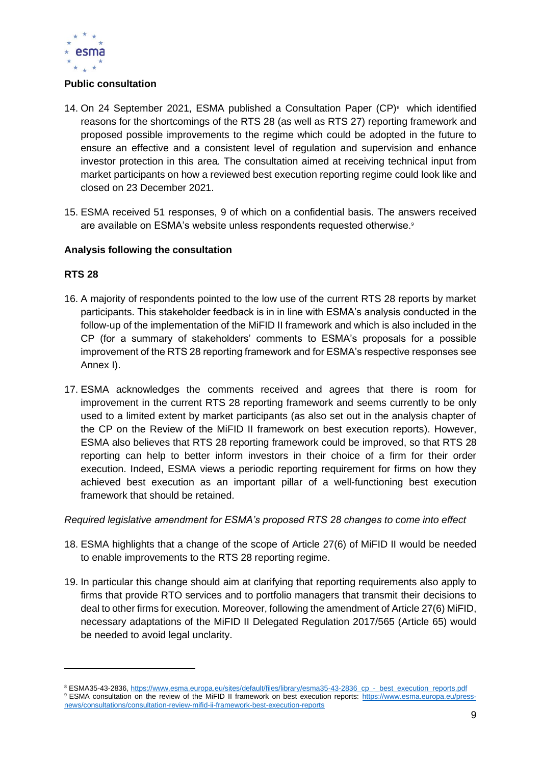

#### **Public consultation**

- 14. On 24 September 2021, ESMA published a Consultation Paper  $(CP)^8$  which identified reasons for the shortcomings of the RTS 28 (as well as RTS 27) reporting framework and proposed possible improvements to the regime which could be adopted in the future to ensure an effective and a consistent level of regulation and supervision and enhance investor protection in this area. The consultation aimed at receiving technical input from market participants on how a reviewed best execution reporting regime could look like and closed on 23 December 2021.
- 15. ESMA received 51 responses, 9 of which on a confidential basis. The answers received are available on ESMA's website unless respondents requested otherwise.<sup>9</sup>

#### **Analysis following the consultation**

#### **RTS 28**

- 16. A majority of respondents pointed to the low use of the current RTS 28 reports by market participants. This stakeholder feedback is in in line with ESMA's analysis conducted in the follow-up of the implementation of the MiFID II framework and which is also included in the CP (for a summary of stakeholders' comments to ESMA's proposals for a possible improvement of the RTS 28 reporting framework and for ESMA's respective responses see Annex I).
- 17. ESMA acknowledges the comments received and agrees that there is room for improvement in the current RTS 28 reporting framework and seems currently to be only used to a limited extent by market participants (as also set out in the analysis chapter of the CP on the Review of the MiFID II framework on best execution reports). However, ESMA also believes that RTS 28 reporting framework could be improved, so that RTS 28 reporting can help to better inform investors in their choice of a firm for their order execution. Indeed, ESMA views a periodic reporting requirement for firms on how they achieved best execution as an important pillar of a well-functioning best execution framework that should be retained.

#### *Required legislative amendment for ESMA's proposed RTS 28 changes to come into effect*

- 18. ESMA highlights that a change of the scope of Article 27(6) of MiFID II would be needed to enable improvements to the RTS 28 reporting regime.
- 19. In particular this change should aim at clarifying that reporting requirements also apply to firms that provide RTO services and to portfolio managers that transmit their decisions to deal to other firms for execution. Moreover, following the amendment of Article 27(6) MiFID, necessary adaptations of the MiFID II Delegated Regulation 2017/565 (Article 65) would be needed to avoid legal unclarity.

<sup>&</sup>lt;sup>8</sup> ESMA35-43-2836, [https://www.esma.europa.eu/sites/default/files/library/esma35-43-2836\\_cp\\_-\\_best\\_execution\\_reports.pdf](https://www.esma.europa.eu/sites/default/files/library/esma35-43-2836_cp_-_best_execution_reports.pdf) 9 ESMA consultation on the review of the MiFID II framework on best execution reports: [https://www.esma.europa.eu/press](https://www.esma.europa.eu/press-news/consultations/consultation-review-mifid-ii-framework-best-execution-reports)[news/consultations/consultation-review-mifid-ii-framework-best-execution-reports](https://www.esma.europa.eu/press-news/consultations/consultation-review-mifid-ii-framework-best-execution-reports)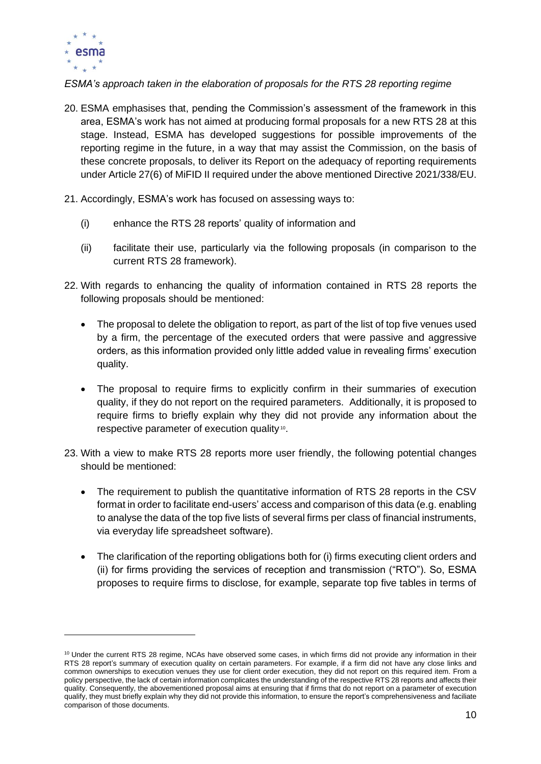

*ESMA's approach taken in the elaboration of proposals for the RTS 28 reporting regime*

- 20. ESMA emphasises that, pending the Commission's assessment of the framework in this area, ESMA's work has not aimed at producing formal proposals for a new RTS 28 at this stage. Instead, ESMA has developed suggestions for possible improvements of the reporting regime in the future, in a way that may assist the Commission, on the basis of these concrete proposals, to deliver its Report on the adequacy of reporting requirements under Article 27(6) of MiFID II required under the above mentioned Directive 2021/338/EU.
- 21. Accordingly, ESMA's work has focused on assessing ways to:
	- (i) enhance the RTS 28 reports' quality of information and
	- (ii) facilitate their use, particularly via the following proposals (in comparison to the current RTS 28 framework).
- 22. With regards to enhancing the quality of information contained in RTS 28 reports the following proposals should be mentioned:
	- The proposal to delete the obligation to report, as part of the list of top five venues used by a firm, the percentage of the executed orders that were passive and aggressive orders, as this information provided only little added value in revealing firms' execution quality.
	- The proposal to require firms to explicitly confirm in their summaries of execution quality, if they do not report on the required parameters. Additionally, it is proposed to require firms to briefly explain why they did not provide any information about the respective parameter of execution quality<sup>10</sup>.
- 23. With a view to make RTS 28 reports more user friendly, the following potential changes should be mentioned:
	- The requirement to publish the quantitative information of RTS 28 reports in the CSV format in order to facilitate end-users' access and comparison of this data (e.g. enabling to analyse the data of the top five lists of several firms per class of financial instruments, via everyday life spreadsheet software).
	- The clarification of the reporting obligations both for (i) firms executing client orders and (ii) for firms providing the services of reception and transmission ("RTO"). So, ESMA proposes to require firms to disclose, for example, separate top five tables in terms of

<sup>&</sup>lt;sup>10</sup> Under the current RTS 28 regime, NCAs have observed some cases, in which firms did not provide any information in their RTS 28 report's summary of execution quality on certain parameters. For example, if a firm did not have any close links and common ownerships to execution venues they use for client order execution, they did not report on this required item. From a policy perspective, the lack of certain information complicates the understanding of the respective RTS 28 reports and affects their quality. Consequently, the abovementioned proposal aims at ensuring that if firms that do not report on a parameter of execution qualify, they must briefly explain why they did not provide this information, to ensure the report's comprehensiveness and faciliate comparison of those documents.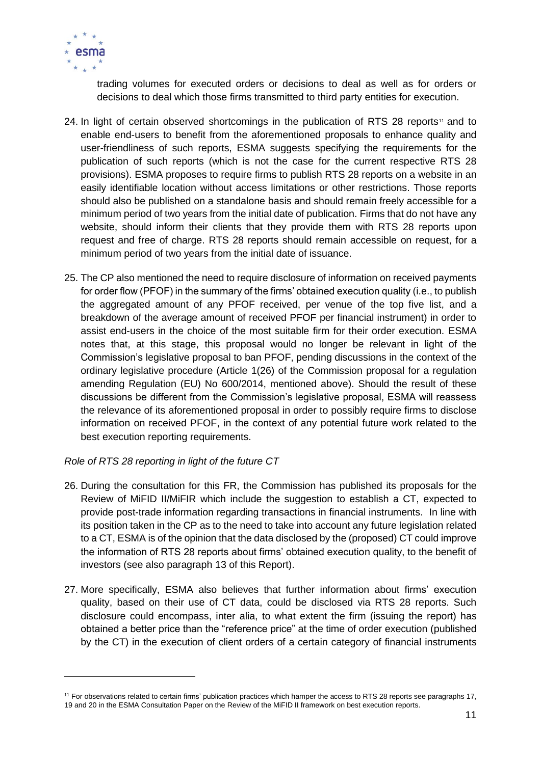

trading volumes for executed orders or decisions to deal as well as for orders or decisions to deal which those firms transmitted to third party entities for execution.

- 24. In light of certain observed shortcomings in the publication of RTS 28 reports<sup>11</sup> and to enable end-users to benefit from the aforementioned proposals to enhance quality and user-friendliness of such reports, ESMA suggests specifying the requirements for the publication of such reports (which is not the case for the current respective RTS 28 provisions). ESMA proposes to require firms to publish RTS 28 reports on a website in an easily identifiable location without access limitations or other restrictions. Those reports should also be published on a standalone basis and should remain freely accessible for a minimum period of two years from the initial date of publication. Firms that do not have any website, should inform their clients that they provide them with RTS 28 reports upon request and free of charge. RTS 28 reports should remain accessible on request, for a minimum period of two years from the initial date of issuance.
- 25. The CP also mentioned the need to require disclosure of information on received payments for order flow (PFOF) in the summary of the firms' obtained execution quality (i.e., to publish the aggregated amount of any PFOF received, per venue of the top five list, and a breakdown of the average amount of received PFOF per financial instrument) in order to assist end-users in the choice of the most suitable firm for their order execution. ESMA notes that, at this stage, this proposal would no longer be relevant in light of the Commission's legislative proposal to ban PFOF, pending discussions in the context of the ordinary legislative procedure (Article 1(26) of the Commission proposal for a regulation amending Regulation (EU) No 600/2014, mentioned above). Should the result of these discussions be different from the Commission's legislative proposal, ESMA will reassess the relevance of its aforementioned proposal in order to possibly require firms to disclose information on received PFOF, in the context of any potential future work related to the best execution reporting requirements.

#### *Role of RTS 28 reporting in light of the future CT*

- 26. During the consultation for this FR, the Commission has published its proposals for the Review of MiFID II/MiFIR which include the suggestion to establish a CT, expected to provide post-trade information regarding transactions in financial instruments. In line with its position taken in the CP as to the need to take into account any future legislation related to a CT, ESMA is of the opinion that the data disclosed by the (proposed) CT could improve the information of RTS 28 reports about firms' obtained execution quality, to the benefit of investors (see also paragraph 13 of this Report).
- 27. More specifically, ESMA also believes that further information about firms' execution quality, based on their use of CT data, could be disclosed via RTS 28 reports. Such disclosure could encompass, inter alia, to what extent the firm (issuing the report) has obtained a better price than the "reference price" at the time of order execution (published by the CT) in the execution of client orders of a certain category of financial instruments

<sup>11</sup> For observations related to certain firms' publication practices which hamper the access to RTS 28 reports see paragraphs 17, 19 and 20 in the ESMA Consultation Paper on the Review of the MiFID II framework on best execution reports.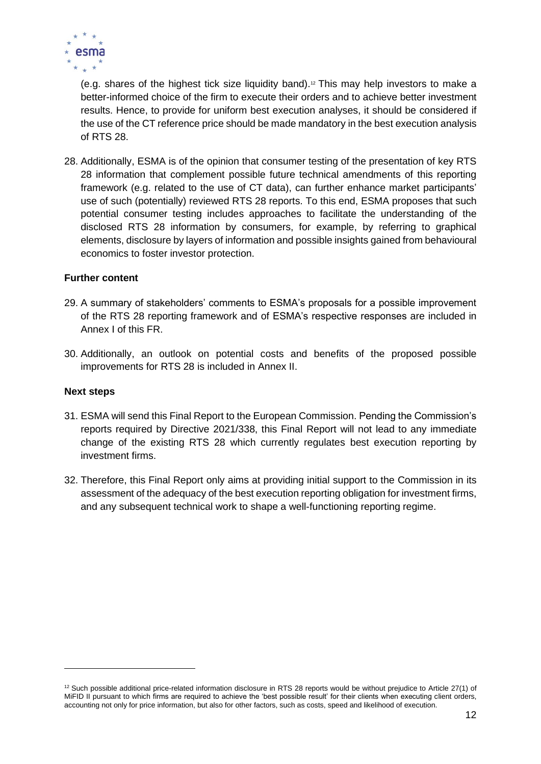

(e.g. shares of the highest tick size liquidity band).<sup>12</sup> This may help investors to make a better-informed choice of the firm to execute their orders and to achieve better investment results. Hence, to provide for uniform best execution analyses, it should be considered if the use of the CT reference price should be made mandatory in the best execution analysis of RTS 28.

28. Additionally, ESMA is of the opinion that consumer testing of the presentation of key RTS 28 information that complement possible future technical amendments of this reporting framework (e.g. related to the use of CT data), can further enhance market participants' use of such (potentially) reviewed RTS 28 reports. To this end, ESMA proposes that such potential consumer testing includes approaches to facilitate the understanding of the disclosed RTS 28 information by consumers, for example, by referring to graphical elements, disclosure by layers of information and possible insights gained from behavioural economics to foster investor protection.

#### **Further content**

- 29. A summary of stakeholders' comments to ESMA's proposals for a possible improvement of the RTS 28 reporting framework and of ESMA's respective responses are included in Annex I of this FR.
- 30. Additionally, an outlook on potential costs and benefits of the proposed possible improvements for RTS 28 is included in Annex II.

#### **Next steps**

- 31. ESMA will send this Final Report to the European Commission. Pending the Commission's reports required by Directive 2021/338, this Final Report will not lead to any immediate change of the existing RTS 28 which currently regulates best execution reporting by investment firms.
- 32. Therefore, this Final Report only aims at providing initial support to the Commission in its assessment of the adequacy of the best execution reporting obligation for investment firms, and any subsequent technical work to shape a well-functioning reporting regime.

 $12$  Such possible additional price-related information disclosure in RTS 28 reports would be without prejudice to Article 27(1) of MiFID II pursuant to which firms are required to achieve the 'best possible result' for their clients when executing client orders, accounting not only for price information, but also for other factors, such as costs, speed and likelihood of execution.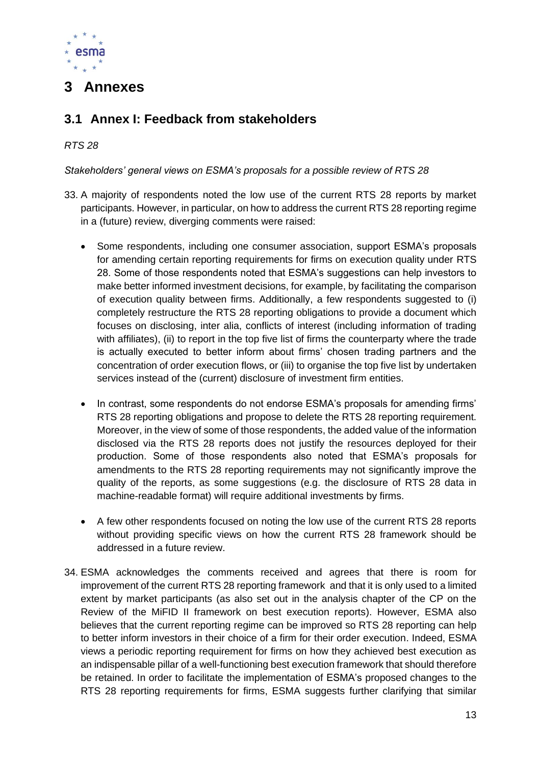

## <span id="page-12-0"></span>**3 Annexes**

### <span id="page-12-1"></span>**3.1 Annex I: Feedback from stakeholders**

#### *RTS 28*

#### *Stakeholders' general views on ESMA's proposals for a possible review of RTS 28*

- 33. A majority of respondents noted the low use of the current RTS 28 reports by market participants. However, in particular, on how to address the current RTS 28 reporting regime in a (future) review, diverging comments were raised:
	- Some respondents, including one consumer association, support ESMA's proposals for amending certain reporting requirements for firms on execution quality under RTS 28. Some of those respondents noted that ESMA's suggestions can help investors to make better informed investment decisions, for example, by facilitating the comparison of execution quality between firms. Additionally, a few respondents suggested to (i) completely restructure the RTS 28 reporting obligations to provide a document which focuses on disclosing, inter alia, conflicts of interest (including information of trading with affiliates), (ii) to report in the top five list of firms the counterparty where the trade is actually executed to better inform about firms' chosen trading partners and the concentration of order execution flows, or (iii) to organise the top five list by undertaken services instead of the (current) disclosure of investment firm entities.
	- In contrast, some respondents do not endorse ESMA's proposals for amending firms' RTS 28 reporting obligations and propose to delete the RTS 28 reporting requirement. Moreover, in the view of some of those respondents, the added value of the information disclosed via the RTS 28 reports does not justify the resources deployed for their production. Some of those respondents also noted that ESMA's proposals for amendments to the RTS 28 reporting requirements may not significantly improve the quality of the reports, as some suggestions (e.g. the disclosure of RTS 28 data in machine-readable format) will require additional investments by firms.
	- A few other respondents focused on noting the low use of the current RTS 28 reports without providing specific views on how the current RTS 28 framework should be addressed in a future review.
- 34. ESMA acknowledges the comments received and agrees that there is room for improvement of the current RTS 28 reporting framework and that it is only used to a limited extent by market participants (as also set out in the analysis chapter of the CP on the Review of the MiFID II framework on best execution reports). However, ESMA also believes that the current reporting regime can be improved so RTS 28 reporting can help to better inform investors in their choice of a firm for their order execution. Indeed, ESMA views a periodic reporting requirement for firms on how they achieved best execution as an indispensable pillar of a well-functioning best execution framework that should therefore be retained. In order to facilitate the implementation of ESMA's proposed changes to the RTS 28 reporting requirements for firms, ESMA suggests further clarifying that similar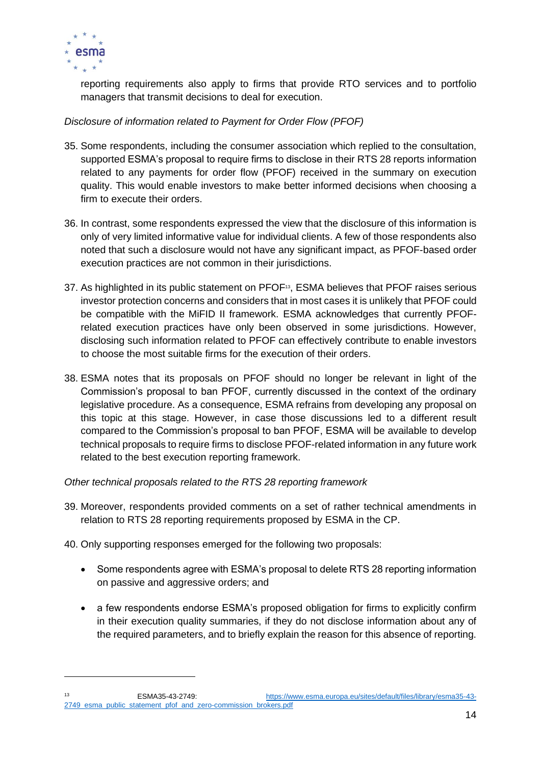

reporting requirements also apply to firms that provide RTO services and to portfolio managers that transmit decisions to deal for execution.

#### *Disclosure of information related to Payment for Order Flow (PFOF)*

- 35. Some respondents, including the consumer association which replied to the consultation, supported ESMA's proposal to require firms to disclose in their RTS 28 reports information related to any payments for order flow (PFOF) received in the summary on execution quality. This would enable investors to make better informed decisions when choosing a firm to execute their orders.
- 36. In contrast, some respondents expressed the view that the disclosure of this information is only of very limited informative value for individual clients. A few of those respondents also noted that such a disclosure would not have any significant impact, as PFOF-based order execution practices are not common in their jurisdictions.
- 37. As highlighted in its public statement on PFOF<sup>13</sup>, ESMA believes that PFOF raises serious investor protection concerns and considers that in most cases it is unlikely that PFOF could be compatible with the MiFID II framework. ESMA acknowledges that currently PFOFrelated execution practices have only been observed in some jurisdictions. However, disclosing such information related to PFOF can effectively contribute to enable investors to choose the most suitable firms for the execution of their orders.
- 38. ESMA notes that its proposals on PFOF should no longer be relevant in light of the Commission's proposal to ban PFOF, currently discussed in the context of the ordinary legislative procedure. As a consequence, ESMA refrains from developing any proposal on this topic at this stage. However, in case those discussions led to a different result compared to the Commission's proposal to ban PFOF, ESMA will be available to develop technical proposals to require firms to disclose PFOF-related information in any future work related to the best execution reporting framework.

#### *Other technical proposals related to the RTS 28 reporting framework*

- 39. Moreover, respondents provided comments on a set of rather technical amendments in relation to RTS 28 reporting requirements proposed by ESMA in the CP.
- 40. Only supporting responses emerged for the following two proposals:
	- Some respondents agree with ESMA's proposal to delete RTS 28 reporting information on passive and aggressive orders; and
	- a few respondents endorse ESMA's proposed obligation for firms to explicitly confirm in their execution quality summaries, if they do not disclose information about any of the required parameters, and to briefly explain the reason for this absence of reporting.

<sup>13</sup> ESMA35-43-2749: [https://www.esma.europa.eu/sites/default/files/library/esma35-43-](https://www.esma.europa.eu/sites/default/files/library/esma35-43-2749_esma_public_statement_pfof_and_zero-commission_brokers.pdf) 2749 esma\_public\_statement\_pfof\_and\_zero-commission\_brokers.pdf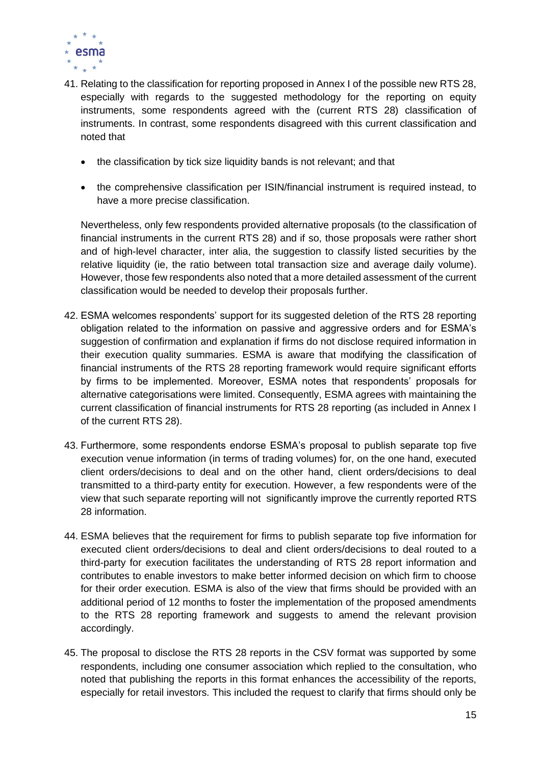

- 41. Relating to the classification for reporting proposed in Annex I of the possible new RTS 28, especially with regards to the suggested methodology for the reporting on equity instruments, some respondents agreed with the (current RTS 28) classification of instruments. In contrast, some respondents disagreed with this current classification and noted that
	- the classification by tick size liquidity bands is not relevant; and that
	- the comprehensive classification per ISIN/financial instrument is required instead, to have a more precise classification.

Nevertheless, only few respondents provided alternative proposals (to the classification of financial instruments in the current RTS 28) and if so, those proposals were rather short and of high-level character, inter alia, the suggestion to classify listed securities by the relative liquidity (ie, the ratio between total transaction size and average daily volume). However, those few respondents also noted that a more detailed assessment of the current classification would be needed to develop their proposals further.

- 42. ESMA welcomes respondents' support for its suggested deletion of the RTS 28 reporting obligation related to the information on passive and aggressive orders and for ESMA's suggestion of confirmation and explanation if firms do not disclose required information in their execution quality summaries. ESMA is aware that modifying the classification of financial instruments of the RTS 28 reporting framework would require significant efforts by firms to be implemented. Moreover, ESMA notes that respondents' proposals for alternative categorisations were limited. Consequently, ESMA agrees with maintaining the current classification of financial instruments for RTS 28 reporting (as included in Annex I of the current RTS 28).
- 43. Furthermore, some respondents endorse ESMA's proposal to publish separate top five execution venue information (in terms of trading volumes) for, on the one hand, executed client orders/decisions to deal and on the other hand, client orders/decisions to deal transmitted to a third-party entity for execution. However, a few respondents were of the view that such separate reporting will not significantly improve the currently reported RTS 28 information.
- 44. ESMA believes that the requirement for firms to publish separate top five information for executed client orders/decisions to deal and client orders/decisions to deal routed to a third-party for execution facilitates the understanding of RTS 28 report information and contributes to enable investors to make better informed decision on which firm to choose for their order execution. ESMA is also of the view that firms should be provided with an additional period of 12 months to foster the implementation of the proposed amendments to the RTS 28 reporting framework and suggests to amend the relevant provision accordingly.
- 45. The proposal to disclose the RTS 28 reports in the CSV format was supported by some respondents, including one consumer association which replied to the consultation, who noted that publishing the reports in this format enhances the accessibility of the reports, especially for retail investors. This included the request to clarify that firms should only be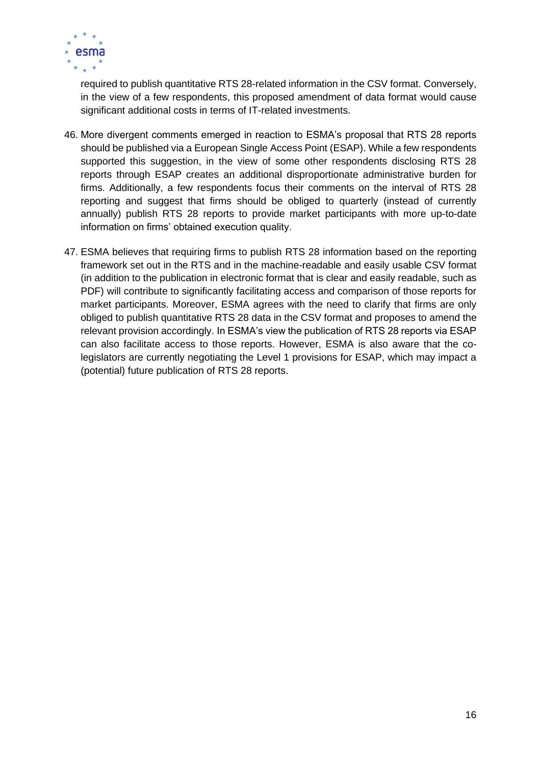

required to publish quantitative RTS 28-related information in the CSV format. Conversely, in the view of a few respondents, this proposed amendment of data format would cause significant additional costs in terms of IT-related investments.

- 46. More divergent comments emerged in reaction to ESMA's proposal that RTS 28 reports should be published via a European Single Access Point (ESAP). While a few respondents supported this suggestion, in the view of some other respondents disclosing RTS 28 reports through ESAP creates an additional disproportionate administrative burden for firms. Additionally, a few respondents focus their comments on the interval of RTS 28 reporting and suggest that firms should be obliged to quarterly (instead of currently annually) publish RTS 28 reports to provide market participants with more up-to-date information on firms' obtained execution quality.
- 47. ESMA believes that requiring firms to publish RTS 28 information based on the reporting framework set out in the RTS and in the machine-readable and easily usable CSV format (in addition to the publication in electronic format that is clear and easily readable, such as PDF) will contribute to significantly facilitating access and comparison of those reports for market participants. Moreover, ESMA agrees with the need to clarify that firms are only obliged to publish quantitative RTS 28 data in the CSV format and proposes to amend the relevant provision accordingly. In ESMA's view the publication of RTS 28 reports via ESAP can also facilitate access to those reports. However, ESMA is also aware that the colegislators are currently negotiating the Level 1 provisions for ESAP, which may impact a (potential) future publication of RTS 28 reports.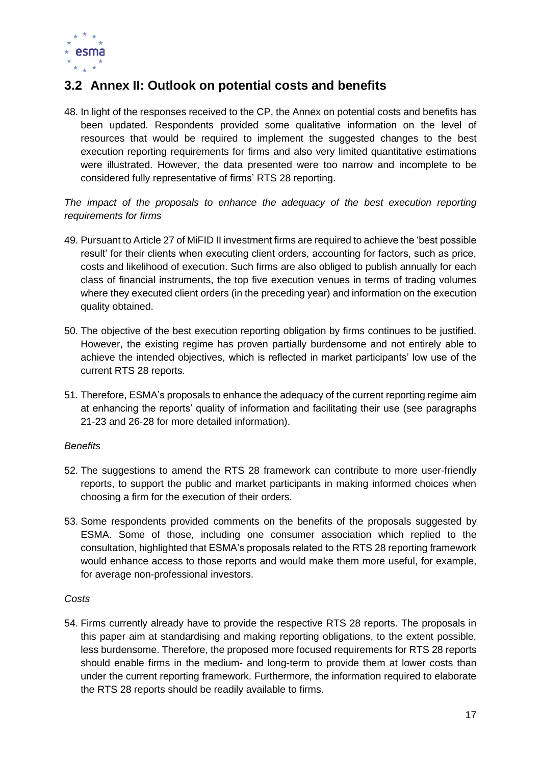

## <span id="page-16-0"></span>**3.2 Annex II: Outlook on potential costs and benefits**

48. In light of the responses received to the CP, the Annex on potential costs and benefits has been updated. Respondents provided some qualitative information on the level of resources that would be required to implement the suggested changes to the best execution reporting requirements for firms and also very limited quantitative estimations were illustrated. However, the data presented were too narrow and incomplete to be considered fully representative of firms' RTS 28 reporting.

#### *The impact of the proposals to enhance the adequacy of the best execution reporting requirements for firms*

- 49. Pursuant to Article 27 of MiFID II investment firms are required to achieve the 'best possible result' for their clients when executing client orders, accounting for factors, such as price, costs and likelihood of execution. Such firms are also obliged to publish annually for each class of financial instruments, the top five execution venues in terms of trading volumes where they executed client orders (in the preceding year) and information on the execution quality obtained.
- 50. The objective of the best execution reporting obligation by firms continues to be justified. However, the existing regime has proven partially burdensome and not entirely able to achieve the intended objectives, which is reflected in market participants' low use of the current RTS 28 reports.
- 51. Therefore, ESMA's proposals to enhance the adequacy of the current reporting regime aim at enhancing the reports' quality of information and facilitating their use (see paragraphs 21-23 and 26-28 for more detailed information).

#### *Benefits*

- 52. The suggestions to amend the RTS 28 framework can contribute to more user-friendly reports, to support the public and market participants in making informed choices when choosing a firm for the execution of their orders.
- 53. Some respondents provided comments on the benefits of the proposals suggested by ESMA. Some of those, including one consumer association which replied to the consultation, highlighted that ESMA's proposals related to the RTS 28 reporting framework would enhance access to those reports and would make them more useful, for example, for average non-professional investors.

#### *Costs*

54. Firms currently already have to provide the respective RTS 28 reports. The proposals in this paper aim at standardising and making reporting obligations, to the extent possible, less burdensome. Therefore, the proposed more focused requirements for RTS 28 reports should enable firms in the medium- and long-term to provide them at lower costs than under the current reporting framework. Furthermore, the information required to elaborate the RTS 28 reports should be readily available to firms.